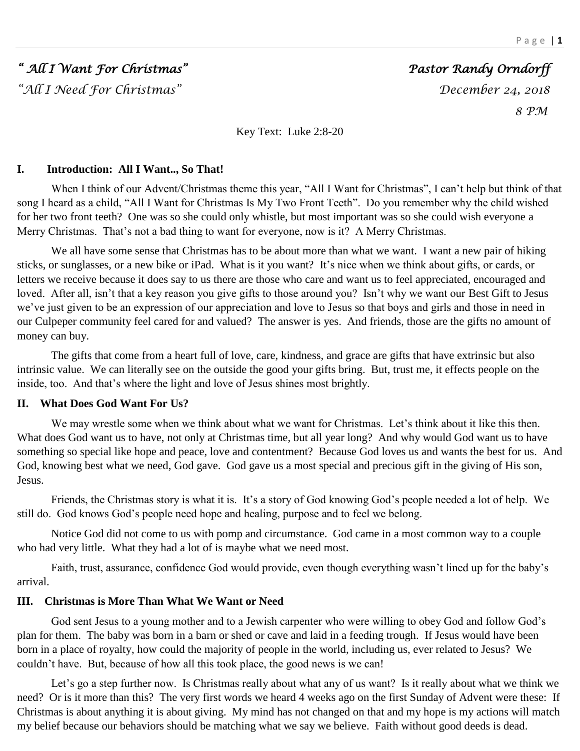# *" All I Want For Christmas" Pastor Randy Orndorff*

*"All I Need For Christmas" December 24, 2018*

 *8 PM* 

Key Text: Luke 2:8-20

### **I. Introduction: All I Want.., So That!**

When I think of our Advent/Christmas theme this year, "All I Want for Christmas", I can't help but think of that song I heard as a child, "All I Want for Christmas Is My Two Front Teeth". Do you remember why the child wished for her two front teeth? One was so she could only whistle, but most important was so she could wish everyone a Merry Christmas. That's not a bad thing to want for everyone, now is it? A Merry Christmas.

We all have some sense that Christmas has to be about more than what we want. I want a new pair of hiking sticks, or sunglasses, or a new bike or iPad. What is it you want? It's nice when we think about gifts, or cards, or letters we receive because it does say to us there are those who care and want us to feel appreciated, encouraged and loved. After all, isn't that a key reason you give gifts to those around you? Isn't why we want our Best Gift to Jesus we've just given to be an expression of our appreciation and love to Jesus so that boys and girls and those in need in our Culpeper community feel cared for and valued? The answer is yes. And friends, those are the gifts no amount of money can buy.

The gifts that come from a heart full of love, care, kindness, and grace are gifts that have extrinsic but also intrinsic value. We can literally see on the outside the good your gifts bring. But, trust me, it effects people on the inside, too. And that's where the light and love of Jesus shines most brightly.

## **II. What Does God Want For Us?**

We may wrestle some when we think about what we want for Christmas. Let's think about it like this then. What does God want us to have, not only at Christmas time, but all year long? And why would God want us to have something so special like hope and peace, love and contentment? Because God loves us and wants the best for us. And God, knowing best what we need, God gave. God gave us a most special and precious gift in the giving of His son, Jesus.

Friends, the Christmas story is what it is. It's a story of God knowing God's people needed a lot of help. We still do. God knows God's people need hope and healing, purpose and to feel we belong.

Notice God did not come to us with pomp and circumstance. God came in a most common way to a couple who had very little. What they had a lot of is maybe what we need most.

Faith, trust, assurance, confidence God would provide, even though everything wasn't lined up for the baby's arrival.

## **III. Christmas is More Than What We Want or Need**

God sent Jesus to a young mother and to a Jewish carpenter who were willing to obey God and follow God's plan for them. The baby was born in a barn or shed or cave and laid in a feeding trough. If Jesus would have been born in a place of royalty, how could the majority of people in the world, including us, ever related to Jesus? We couldn't have. But, because of how all this took place, the good news is we can!

Let's go a step further now. Is Christmas really about what any of us want? Is it really about what we think we need? Or is it more than this? The very first words we heard 4 weeks ago on the first Sunday of Advent were these: If Christmas is about anything it is about giving. My mind has not changed on that and my hope is my actions will match my belief because our behaviors should be matching what we say we believe. Faith without good deeds is dead.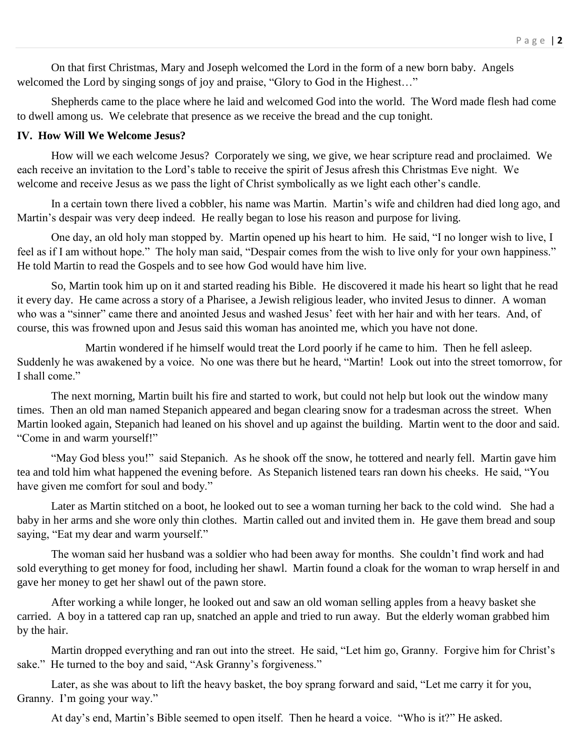On that first Christmas, Mary and Joseph welcomed the Lord in the form of a new born baby. Angels welcomed the Lord by singing songs of joy and praise, "Glory to God in the Highest..."

Shepherds came to the place where he laid and welcomed God into the world. The Word made flesh had come to dwell among us. We celebrate that presence as we receive the bread and the cup tonight.

#### **IV. How Will We Welcome Jesus?**

How will we each welcome Jesus? Corporately we sing, we give, we hear scripture read and proclaimed. We each receive an invitation to the Lord's table to receive the spirit of Jesus afresh this Christmas Eve night. We welcome and receive Jesus as we pass the light of Christ symbolically as we light each other's candle.

In a certain town there lived a cobbler, his name was Martin. Martin's wife and children had died long ago, and Martin's despair was very deep indeed. He really began to lose his reason and purpose for living.

One day, an old holy man stopped by. Martin opened up his heart to him. He said, "I no longer wish to live, I feel as if I am without hope." The holy man said, "Despair comes from the wish to live only for your own happiness." He told Martin to read the Gospels and to see how God would have him live.

So, Martin took him up on it and started reading his Bible. He discovered it made his heart so light that he read it every day. He came across a story of a Pharisee, a Jewish religious leader, who invited Jesus to dinner. A woman who was a "sinner" came there and anointed Jesus and washed Jesus' feet with her hair and with her tears. And, of course, this was frowned upon and Jesus said this woman has anointed me, which you have not done.

Martin wondered if he himself would treat the Lord poorly if he came to him. Then he fell asleep. Suddenly he was awakened by a voice. No one was there but he heard, "Martin! Look out into the street tomorrow, for I shall come."

The next morning, Martin built his fire and started to work, but could not help but look out the window many times. Then an old man named Stepanich appeared and began clearing snow for a tradesman across the street. When Martin looked again, Stepanich had leaned on his shovel and up against the building. Martin went to the door and said. "Come in and warm yourself!"

"May God bless you!" said Stepanich. As he shook off the snow, he tottered and nearly fell. Martin gave him tea and told him what happened the evening before. As Stepanich listened tears ran down his cheeks. He said, "You have given me comfort for soul and body."

Later as Martin stitched on a boot, he looked out to see a woman turning her back to the cold wind. She had a baby in her arms and she wore only thin clothes. Martin called out and invited them in. He gave them bread and soup saying, "Eat my dear and warm yourself."

The woman said her husband was a soldier who had been away for months. She couldn't find work and had sold everything to get money for food, including her shawl. Martin found a cloak for the woman to wrap herself in and gave her money to get her shawl out of the pawn store.

After working a while longer, he looked out and saw an old woman selling apples from a heavy basket she carried. A boy in a tattered cap ran up, snatched an apple and tried to run away. But the elderly woman grabbed him by the hair.

Martin dropped everything and ran out into the street. He said, "Let him go, Granny. Forgive him for Christ's sake." He turned to the boy and said, "Ask Granny's forgiveness."

Later, as she was about to lift the heavy basket, the boy sprang forward and said, "Let me carry it for you, Granny. I'm going your way."

At day's end, Martin's Bible seemed to open itself. Then he heard a voice. "Who is it?" He asked.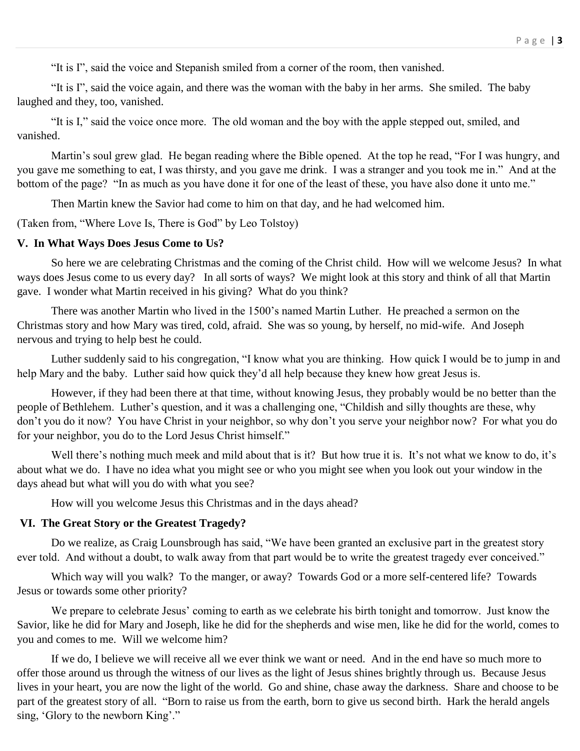"It is I", said the voice and Stepanish smiled from a corner of the room, then vanished.

"It is I", said the voice again, and there was the woman with the baby in her arms. She smiled. The baby laughed and they, too, vanished.

"It is I," said the voice once more. The old woman and the boy with the apple stepped out, smiled, and vanished.

Martin's soul grew glad. He began reading where the Bible opened. At the top he read, "For I was hungry, and you gave me something to eat, I was thirsty, and you gave me drink. I was a stranger and you took me in." And at the bottom of the page? "In as much as you have done it for one of the least of these, you have also done it unto me."

Then Martin knew the Savior had come to him on that day, and he had welcomed him.

(Taken from, "Where Love Is, There is God" by Leo Tolstoy)

#### **V. In What Ways Does Jesus Come to Us?**

So here we are celebrating Christmas and the coming of the Christ child. How will we welcome Jesus? In what ways does Jesus come to us every day? In all sorts of ways? We might look at this story and think of all that Martin gave. I wonder what Martin received in his giving? What do you think?

There was another Martin who lived in the 1500's named Martin Luther. He preached a sermon on the Christmas story and how Mary was tired, cold, afraid. She was so young, by herself, no mid-wife. And Joseph nervous and trying to help best he could.

Luther suddenly said to his congregation, "I know what you are thinking. How quick I would be to jump in and help Mary and the baby. Luther said how quick they'd all help because they knew how great Jesus is.

However, if they had been there at that time, without knowing Jesus, they probably would be no better than the people of Bethlehem. Luther's question, and it was a challenging one, "Childish and silly thoughts are these, why don't you do it now? You have Christ in your neighbor, so why don't you serve your neighbor now? For what you do for your neighbor, you do to the Lord Jesus Christ himself."

Well there's nothing much meek and mild about that is it? But how true it is. It's not what we know to do, it's about what we do. I have no idea what you might see or who you might see when you look out your window in the days ahead but what will you do with what you see?

How will you welcome Jesus this Christmas and in the days ahead?

#### **VI. The Great Story or the Greatest Tragedy?**

Do we realize, as Craig Lounsbrough has said, "We have been granted an exclusive part in the greatest story ever told. And without a doubt, to walk away from that part would be to write the greatest tragedy ever conceived."

Which way will you walk? To the manger, or away? Towards God or a more self-centered life? Towards Jesus or towards some other priority?

We prepare to celebrate Jesus' coming to earth as we celebrate his birth tonight and tomorrow. Just know the Savior, like he did for Mary and Joseph, like he did for the shepherds and wise men, like he did for the world, comes to you and comes to me. Will we welcome him?

If we do, I believe we will receive all we ever think we want or need. And in the end have so much more to offer those around us through the witness of our lives as the light of Jesus shines brightly through us. Because Jesus lives in your heart, you are now the light of the world. Go and shine, chase away the darkness. Share and choose to be part of the greatest story of all. "Born to raise us from the earth, born to give us second birth. Hark the herald angels sing, 'Glory to the newborn King'."